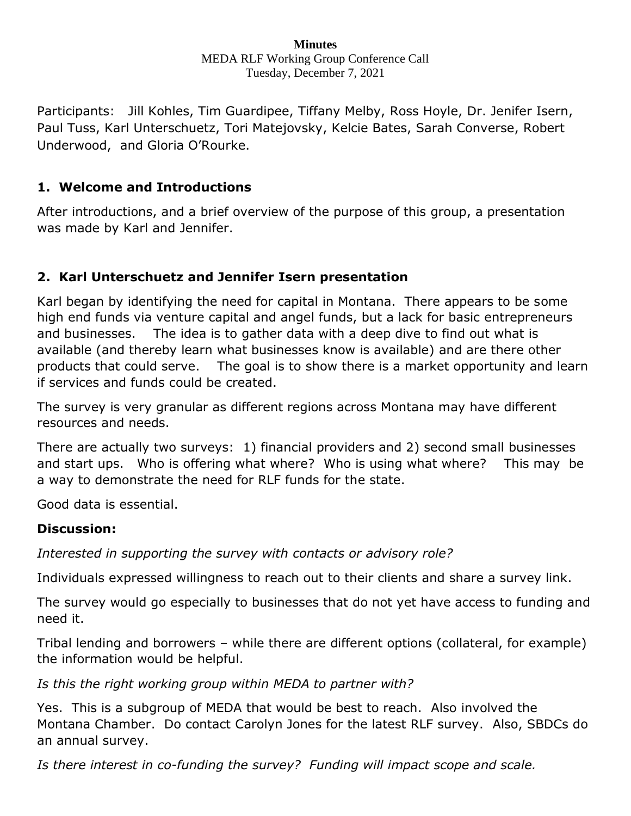#### **Minutes** MEDA RLF Working Group Conference Call Tuesday, December 7, 2021

Participants: Jill Kohles, Tim Guardipee, Tiffany Melby, Ross Hoyle, Dr. Jenifer Isern, Paul Tuss, Karl Unterschuetz, Tori Matejovsky, Kelcie Bates, Sarah Converse, Robert Underwood, and Gloria O'Rourke.

### **1. Welcome and Introductions**

After introductions, and a brief overview of the purpose of this group, a presentation was made by Karl and Jennifer.

# **2. Karl Unterschuetz and Jennifer Isern presentation**

Karl began by identifying the need for capital in Montana. There appears to be some high end funds via venture capital and angel funds, but a lack for basic entrepreneurs and businesses. The idea is to gather data with a deep dive to find out what is available (and thereby learn what businesses know is available) and are there other products that could serve. The goal is to show there is a market opportunity and learn if services and funds could be created.

The survey is very granular as different regions across Montana may have different resources and needs.

There are actually two surveys: 1) financial providers and 2) second small businesses and start ups. Who is offering what where? Who is using what where? This may be a way to demonstrate the need for RLF funds for the state.

Good data is essential.

### **Discussion:**

*Interested in supporting the survey with contacts or advisory role?*

Individuals expressed willingness to reach out to their clients and share a survey link.

The survey would go especially to businesses that do not yet have access to funding and need it.

Tribal lending and borrowers – while there are different options (collateral, for example) the information would be helpful.

*Is this the right working group within MEDA to partner with?*

Yes. This is a subgroup of MEDA that would be best to reach. Also involved the Montana Chamber. Do contact Carolyn Jones for the latest RLF survey. Also, SBDCs do an annual survey.

*Is there interest in co-funding the survey? Funding will impact scope and scale.*